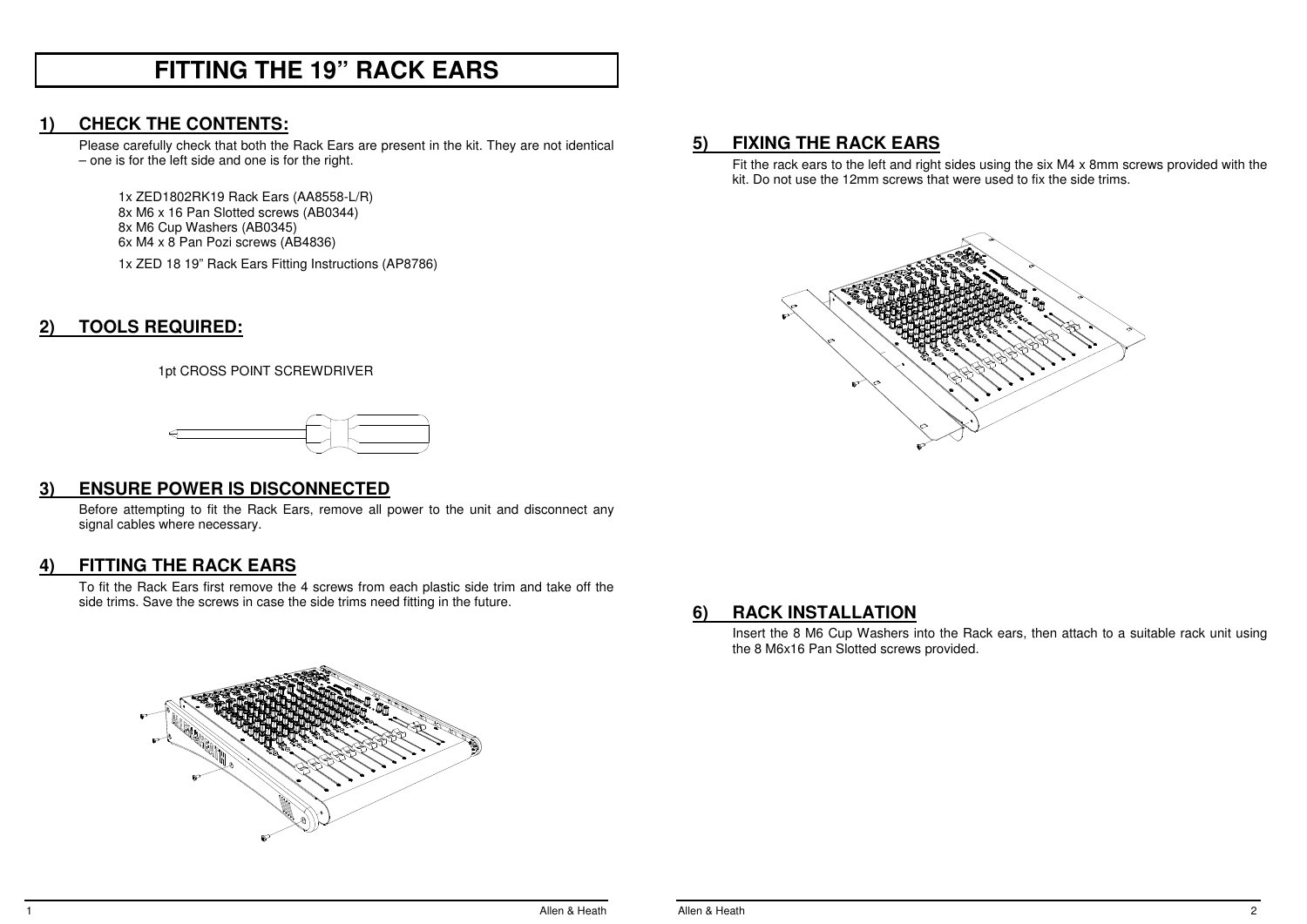## **FITTING THE 19" RACK EARS**

## **1) CHECK THE CONTENTS:**

 Please carefully check that both the Rack Ears are present in the kit. They are not identical – one is for the left side and one is for the right.

1x ZED1802RK19 Rack Ears (AA8558-L/R) 8x M6 x 16 Pan Slotted screws (AB0344) 8x M6 Cup Washers (AB0345) 6x M4 x 8 Pan Pozi screws (AB4836) 1x ZED 18 19" Rack Ears Fitting Instructions (AP8786)

**2) TOOLS REQUIRED:**

1pt CROSS POINT SCREWDRIVER



## **3) ENSURE POWER IS DISCONNECTED**

 Before attempting to fit the Rack Ears, remove all power to the unit and disconnect any signal cables where necessary.

## **4) FITTING THE RACK EARS**

To fit the Rack Ears first remove the 4 screws from each plastic side trim and take off the side trims. Save the screws in case the side trims need fitting in the future.



## **5) FIXING THE RACK EARS**

Fit the rack ears to the left and right sides using the six M4 x 8mm screws provided with the kit. Do not use the 12mm screws that were used to fix the side trims.



## **6) RACK INSTALLATION**

Insert the 8 M6 Cup Washers into the Rack ears, then attach to a suitable rack unit using the 8 M6x16 Pan Slotted screws provided.